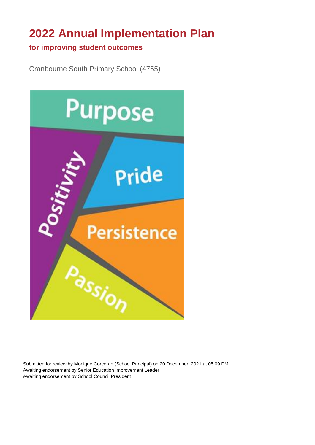# **2022 Annual Implementation Plan**

#### **for improving student outcomes**

Cranbourne South Primary School (4755)



Submitted for review by Monique Corcoran (School Principal) on 20 December, 2021 at 05:09 PM Awaiting endorsement by Senior Education Improvement Leader Awaiting endorsement by School Council President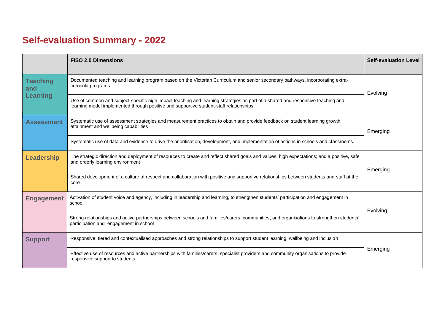# **Self-evaluation Summary - 2022**

|                        | <b>FISO 2.0 Dimensions</b>                                                                                                                                                                                                | <b>Self-evaluation Level</b> |  |
|------------------------|---------------------------------------------------------------------------------------------------------------------------------------------------------------------------------------------------------------------------|------------------------------|--|
| <b>Teaching</b><br>and | Documented teaching and learning program based on the Victorian Curriculum and senior secondary pathways, incorporating extra-<br>curricula programs                                                                      | Evolving                     |  |
| Learning               | Use of common and subject-specific high impact teaching and learning strategies as part of a shared and responsive teaching and<br>learning model implemented through positive and supportive student-staff relationships |                              |  |
| <b>Assessment</b>      | Systematic use of assessment strategies and measurement practices to obtain and provide feedback on student learning growth,<br>attainment and wellbeing capabilities                                                     | Emerging                     |  |
|                        | Systematic use of data and evidence to drive the prioritisation, development, and implementation of actions in schools and classrooms.                                                                                    |                              |  |
| Leadership             | The strategic direction and deployment of resources to create and reflect shared goals and values; high expectations; and a positive, safe<br>and orderly learning environment                                            | Emerging                     |  |
|                        | Shared development of a culture of respect and collaboration with positive and supportive relationships between students and staff at the<br>core                                                                         |                              |  |
| <b>Engagement</b>      | Activation of student voice and agency, including in leadership and learning, to strengthen students' participation and engagement in<br>school                                                                           | Evolving                     |  |
|                        | Strong relationships and active partnerships between schools and families/carers, communities, and organisations to strengthen students'<br>participation and engagement in school                                        |                              |  |
| <b>Support</b>         | Responsive, tiered and contextualised approaches and strong relationships to support student learning, wellbeing and inclusion                                                                                            |                              |  |
|                        | Effective use of resources and active partnerships with families/carers, specialist providers and community organisations to provide<br>responsive support to students                                                    | Emerging                     |  |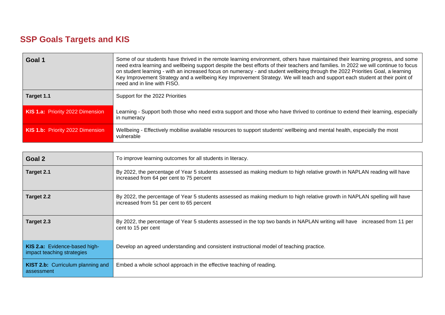### **SSP Goals Targets and KIS**

| Goal 1                           | Some of our students have thrived in the remote learning environment, others have maintained their learning progress, and some<br>need extra learning and wellbeing support despite the best efforts of their teachers and families. In 2022 we will continue to focus<br>on student learning - with an increased focus on numeracy - and student wellbeing through the 2022 Priorities Goal, a learning<br>Key Improvement Strategy and a wellbeing Key Improvement Strategy. We will teach and support each student at their point of<br>need and in line with FISO. |  |  |  |
|----------------------------------|------------------------------------------------------------------------------------------------------------------------------------------------------------------------------------------------------------------------------------------------------------------------------------------------------------------------------------------------------------------------------------------------------------------------------------------------------------------------------------------------------------------------------------------------------------------------|--|--|--|
| Target 1.1                       | Support for the 2022 Priorities                                                                                                                                                                                                                                                                                                                                                                                                                                                                                                                                        |  |  |  |
| KIS 1.a: Priority 2022 Dimension | Learning - Support both those who need extra support and those who have thrived to continue to extend their learning, especially<br>in numeracy                                                                                                                                                                                                                                                                                                                                                                                                                        |  |  |  |
| KIS 1.b: Priority 2022 Dimension | Wellbeing - Effectively mobilise available resources to support students' wellbeing and mental health, especially the most<br>vulnerable                                                                                                                                                                                                                                                                                                                                                                                                                               |  |  |  |

| Goal 2                                                      | To improve learning outcomes for all students in literacy.                                                                                                            |  |  |  |
|-------------------------------------------------------------|-----------------------------------------------------------------------------------------------------------------------------------------------------------------------|--|--|--|
| Target 2.1                                                  | By 2022, the percentage of Year 5 students assessed as making medium to high relative growth in NAPLAN reading will have<br>increased from 64 per cent to 75 percent  |  |  |  |
| Target 2.2                                                  | By 2022, the percentage of Year 5 students assessed as making medium to high relative growth in NAPLAN spelling will have<br>increased from 51 per cent to 65 percent |  |  |  |
| Target 2.3                                                  | By 2022, the percentage of Year 5 students assessed in the top two bands in NAPLAN writing will have increased from 11 per<br>cent to 15 per cent                     |  |  |  |
| KIS 2.a: Evidence-based high-<br>impact teaching strategies | Develop an agreed understanding and consistent instructional model of teaching practice.                                                                              |  |  |  |
| <b>KIST 2.b:</b> Curriculum planning and<br>assessment      | Embed a whole school approach in the effective teaching of reading.                                                                                                   |  |  |  |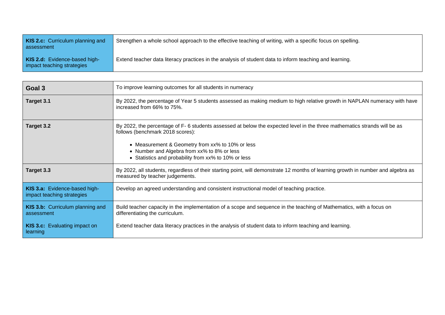| <b>KIS 2.c:</b> Curriculum planning and<br>assessment       | Strengthen a whole school approach to the effective teaching of writing, with a specific focus on spelling. |
|-------------------------------------------------------------|-------------------------------------------------------------------------------------------------------------|
| KIS 2.d: Evidence-based high-<br>impact teaching strategies | Extend teacher data literacy practices in the analysis of student data to inform teaching and learning.     |

| Goal 3                                                                                                                                                                                                                                                                                                                                 | To improve learning outcomes for all students in numeracy                                                                                                            |  |  |  |  |
|----------------------------------------------------------------------------------------------------------------------------------------------------------------------------------------------------------------------------------------------------------------------------------------------------------------------------------------|----------------------------------------------------------------------------------------------------------------------------------------------------------------------|--|--|--|--|
| Target 3.1                                                                                                                                                                                                                                                                                                                             | By 2022, the percentage of Year 5 students assessed as making medium to high relative growth in NAPLAN numeracy with have<br>increased from 66% to 75%.              |  |  |  |  |
| By 2022, the percentage of F- 6 students assessed at below the expected level in the three mathematics strands will be as<br>Target 3.2<br>follows (benchmark 2018 scores):<br>• Measurement & Geometry from xx% to 10% or less<br>• Number and Algebra from xx% to 8% or less<br>• Statistics and probability from xx% to 10% or less |                                                                                                                                                                      |  |  |  |  |
| Target 3.3                                                                                                                                                                                                                                                                                                                             | By 2022, all students, regardless of their starting point, will demonstrate 12 months of learning growth in number and algebra as<br>measured by teacher judgements. |  |  |  |  |
| KIS 3.a: Evidence-based high-<br>impact teaching strategies                                                                                                                                                                                                                                                                            | Develop an agreed understanding and consistent instructional model of teaching practice.                                                                             |  |  |  |  |
| KIS 3.b: Curriculum planning and<br>Build teacher capacity in the implementation of a scope and sequence in the teaching of Mathematics, with a focus on<br>differentiating the curriculum.<br>assessment                                                                                                                              |                                                                                                                                                                      |  |  |  |  |
| <b>KIS 3.c:</b> Evaluating impact on<br>Extend teacher data literacy practices in the analysis of student data to inform teaching and learning.<br>learning                                                                                                                                                                            |                                                                                                                                                                      |  |  |  |  |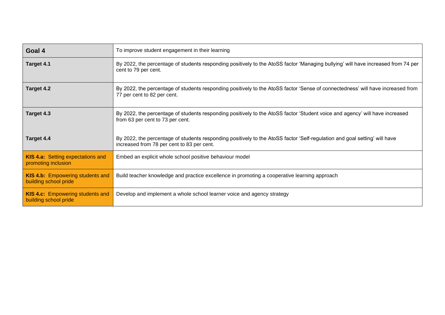| Goal 4                                                           | To improve student engagement in their learning                                                                                                                          |  |  |  |
|------------------------------------------------------------------|--------------------------------------------------------------------------------------------------------------------------------------------------------------------------|--|--|--|
| Target 4.1                                                       | By 2022, the percentage of students responding positively to the AtoSS factor 'Managing bullying' will have increased from 74 per<br>cent to 79 per cent.                |  |  |  |
| Target 4.2                                                       | By 2022, the percentage of students responding positively to the AtoSS factor 'Sense of connectedness' will have increased from<br>77 per cent to 82 per cent.           |  |  |  |
| Target 4.3                                                       | By 2022, the percentage of students responding positively to the AtoSS factor 'Student voice and agency' will have increased<br>from 63 per cent to 73 per cent.         |  |  |  |
| Target 4.4                                                       | By 2022, the percentage of students responding positively to the AtoSS factor 'Self-regulation and goal setting' will have<br>increased from 78 per cent to 83 per cent. |  |  |  |
| <b>KIS 4.a: Setting expectations and</b><br>promoting inclusion  | Embed an explicit whole school positive behaviour model                                                                                                                  |  |  |  |
| KIS 4.b: Empowering students and<br>building school pride        | Build teacher knowledge and practice excellence in promoting a cooperative learning approach                                                                             |  |  |  |
| <b>KIS 4.c:</b> Empowering students and<br>building school pride | Develop and implement a whole school learner voice and agency strategy                                                                                                   |  |  |  |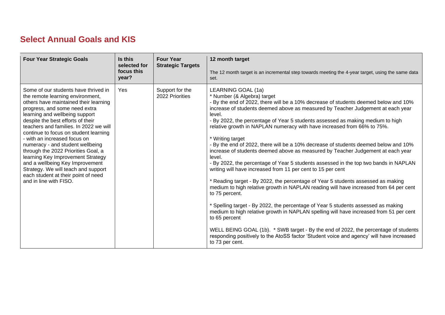#### **Select Annual Goals and KIS**

| <b>Four Year Strategic Goals</b>                                                                                                                                                                                                                                                                                                                                                                                                                                                                                                                                                                        | Is this<br>selected for<br>focus this<br>year? | <b>Four Year</b><br><b>Strategic Targets</b> | 12 month target<br>The 12 month target is an incremental step towards meeting the 4-year target, using the same data<br>set.                                                                                                                                                                                                                                                                                                                                                                                                                                                                                                                                                                                                                                                                                                                                                                                                                                                                                                                                                                                                                                                                                                                                                                                                                                           |
|---------------------------------------------------------------------------------------------------------------------------------------------------------------------------------------------------------------------------------------------------------------------------------------------------------------------------------------------------------------------------------------------------------------------------------------------------------------------------------------------------------------------------------------------------------------------------------------------------------|------------------------------------------------|----------------------------------------------|------------------------------------------------------------------------------------------------------------------------------------------------------------------------------------------------------------------------------------------------------------------------------------------------------------------------------------------------------------------------------------------------------------------------------------------------------------------------------------------------------------------------------------------------------------------------------------------------------------------------------------------------------------------------------------------------------------------------------------------------------------------------------------------------------------------------------------------------------------------------------------------------------------------------------------------------------------------------------------------------------------------------------------------------------------------------------------------------------------------------------------------------------------------------------------------------------------------------------------------------------------------------------------------------------------------------------------------------------------------------|
| Some of our students have thrived in<br>the remote learning environment,<br>others have maintained their learning<br>progress, and some need extra<br>learning and wellbeing support<br>despite the best efforts of their<br>teachers and families. In 2022 we will<br>continue to focus on student learning<br>- with an increased focus on<br>numeracy - and student wellbeing<br>through the 2022 Priorities Goal, a<br>learning Key Improvement Strategy<br>and a wellbeing Key Improvement<br>Strategy. We will teach and support<br>each student at their point of need<br>and in line with FISO. | Yes                                            | Support for the<br>2022 Priorities           | LEARNING GOAL (1a)<br>* Number (& Algebra) target<br>- By the end of 2022, there will be a 10% decrease of students deemed below and 10%<br>increase of students deemed above as measured by Teacher Judgement at each year<br>level.<br>- By 2022, the percentage of Year 5 students assessed as making medium to high<br>relative growth in NAPLAN numeracy with have increased from 66% to 75%.<br>* Writing target<br>- By the end of 2022, there will be a 10% decrease of students deemed below and 10%<br>increase of students deemed above as measured by Teacher Judgement at each year<br>level.<br>- By 2022, the percentage of Year 5 students assessed in the top two bands in NAPLAN<br>writing will have increased from 11 per cent to 15 per cent<br>* Reading target - By 2022, the percentage of Year 5 students assessed as making<br>medium to high relative growth in NAPLAN reading will have increased from 64 per cent<br>to 75 percent.<br>* Spelling target - By 2022, the percentage of Year 5 students assessed as making<br>medium to high relative growth in NAPLAN spelling will have increased from 51 per cent<br>to 65 percent<br>WELL BEING GOAL (1b). * SWB target - By the end of 2022, the percentage of students<br>responding positively to the AtoSS factor 'Student voice and agency' will have increased<br>to 73 per cent. |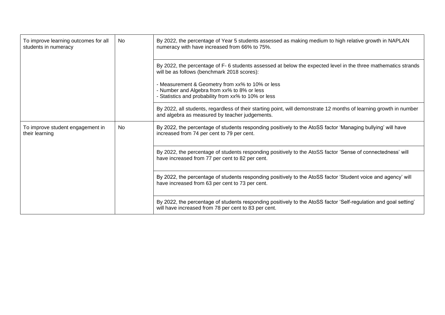| To improve learning outcomes for all<br>students in numeracy | No | By 2022, the percentage of Year 5 students assessed as making medium to high relative growth in NAPLAN<br>numeracy with have increased from 66% to 75%.                  |  |  |
|--------------------------------------------------------------|----|--------------------------------------------------------------------------------------------------------------------------------------------------------------------------|--|--|
|                                                              |    | By 2022, the percentage of F-6 students assessed at below the expected level in the three mathematics strands<br>will be as follows (benchmark 2018 scores):             |  |  |
|                                                              |    | - Measurement & Geometry from xx% to 10% or less<br>- Number and Algebra from xx% to 8% or less<br>- Statistics and probability from xx% to 10% or less                  |  |  |
|                                                              |    | By 2022, all students, regardless of their starting point, will demonstrate 12 months of learning growth in number<br>and algebra as measured by teacher judgements.     |  |  |
| To improve student engagement in<br>their learning           | No | By 2022, the percentage of students responding positively to the AtoSS factor 'Managing bullying' will have<br>increased from 74 per cent to 79 per cent.                |  |  |
|                                                              |    | By 2022, the percentage of students responding positively to the AtoSS factor 'Sense of connectedness' will<br>have increased from 77 per cent to 82 per cent.           |  |  |
|                                                              |    | By 2022, the percentage of students responding positively to the AtoSS factor 'Student voice and agency' will<br>have increased from 63 per cent to 73 per cent.         |  |  |
|                                                              |    | By 2022, the percentage of students responding positively to the AtoSS factor 'Self-regulation and goal setting'<br>will have increased from 78 per cent to 83 per cent. |  |  |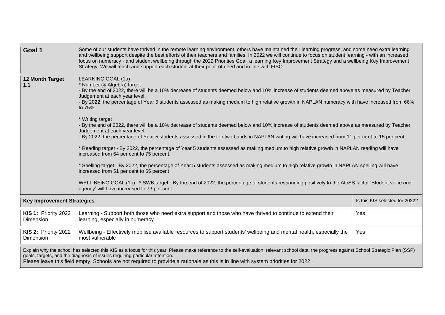| Goal 1                                                                                                                                                                                                                                                                                                                                                                                                           | Some of our students have thrived in the remote learning environment, others have maintained their learning progress, and some need extra learning<br>and wellbeing support despite the best efforts of their teachers and families. In 2022 we will continue to focus on student learning - with an increased<br>focus on numeracy - and student wellbeing through the 2022 Priorities Goal, a learning Key Improvement Strategy and a wellbeing Key Improvement<br>Strategy. We will teach and support each student at their point of need and in line with FISO. |                                |  |  |
|------------------------------------------------------------------------------------------------------------------------------------------------------------------------------------------------------------------------------------------------------------------------------------------------------------------------------------------------------------------------------------------------------------------|---------------------------------------------------------------------------------------------------------------------------------------------------------------------------------------------------------------------------------------------------------------------------------------------------------------------------------------------------------------------------------------------------------------------------------------------------------------------------------------------------------------------------------------------------------------------|--------------------------------|--|--|
| 12 Month Target<br>1.1                                                                                                                                                                                                                                                                                                                                                                                           | LEARNING GOAL (1a)<br>* Number (& Algebra) target<br>- By the end of 2022, there will be a 10% decrease of students deemed below and 10% increase of students deemed above as measured by Teacher<br>Judgement at each year level.<br>- By 2022, the percentage of Year 5 students assessed as making medium to high relative growth in NAPLAN numeracy with have increased from 66%<br>to 75%.                                                                                                                                                                     |                                |  |  |
|                                                                                                                                                                                                                                                                                                                                                                                                                  | * Writing target<br>- By the end of 2022, there will be a 10% decrease of students deemed below and 10% increase of students deemed above as measured by Teacher<br>Judgement at each year level.<br>- By 2022, the percentage of Year 5 students assessed in the top two bands in NAPLAN writing will have increased from 11 per cent to 15 per cent                                                                                                                                                                                                               |                                |  |  |
|                                                                                                                                                                                                                                                                                                                                                                                                                  | * Reading target - By 2022, the percentage of Year 5 students assessed as making medium to high relative growth in NAPLAN reading will have<br>increased from 64 per cent to 75 percent.                                                                                                                                                                                                                                                                                                                                                                            |                                |  |  |
|                                                                                                                                                                                                                                                                                                                                                                                                                  | * Spelling target - By 2022, the percentage of Year 5 students assessed as making medium to high relative growth in NAPLAN spelling will have<br>increased from 51 per cent to 65 percent                                                                                                                                                                                                                                                                                                                                                                           |                                |  |  |
|                                                                                                                                                                                                                                                                                                                                                                                                                  | WELL BEING GOAL (1b). * SWB target - By the end of 2022, the percentage of students responding positively to the AtoSS factor 'Student voice and<br>agency' will have increased to 73 per cent.                                                                                                                                                                                                                                                                                                                                                                     |                                |  |  |
| <b>Key Improvement Strategies</b>                                                                                                                                                                                                                                                                                                                                                                                |                                                                                                                                                                                                                                                                                                                                                                                                                                                                                                                                                                     | Is this KIS selected for 2022? |  |  |
| <b>KIS 1: Priority 2022</b><br>Dimension                                                                                                                                                                                                                                                                                                                                                                         | Learning - Support both those who need extra support and those who have thrived to continue to extend their<br>learning, especially in numeracy                                                                                                                                                                                                                                                                                                                                                                                                                     | Yes                            |  |  |
| <b>KIS 2: Priority 2022</b><br>Dimension                                                                                                                                                                                                                                                                                                                                                                         | Wellbeing - Effectively mobilise available resources to support students' wellbeing and mental health, especially the<br><b>Yes</b><br>most vulnerable                                                                                                                                                                                                                                                                                                                                                                                                              |                                |  |  |
| Explain why the school has selected this KIS as a focus for this year. Please make reference to the self-evaluation, relevant school data, the progress against School Strategic Plan (SSP)<br>goals, targets, and the diagnosis of issues requiring particular attention.<br>Please leave this field empty. Schools are not required to provide a rationale as this is in line with system priorities for 2022. |                                                                                                                                                                                                                                                                                                                                                                                                                                                                                                                                                                     |                                |  |  |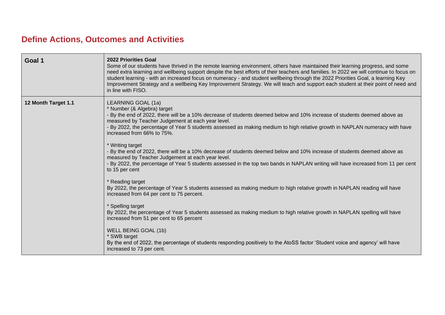#### **Define Actions, Outcomes and Activities**

| Goal 1              | <b>2022 Priorities Goal</b><br>Some of our students have thrived in the remote learning environment, others have maintained their learning progress, and some<br>need extra learning and wellbeing support despite the best efforts of their teachers and families. In 2022 we will continue to focus on<br>student learning - with an increased focus on numeracy - and student wellbeing through the 2022 Priorities Goal, a learning Key<br>Improvement Strategy and a wellbeing Key Improvement Strategy. We will teach and support each student at their point of need and<br>in line with FISO. |
|---------------------|-------------------------------------------------------------------------------------------------------------------------------------------------------------------------------------------------------------------------------------------------------------------------------------------------------------------------------------------------------------------------------------------------------------------------------------------------------------------------------------------------------------------------------------------------------------------------------------------------------|
| 12 Month Target 1.1 | LEARNING GOAL (1a)<br>* Number (& Algebra) target<br>By the end of 2022, there will be a 10% decrease of students deemed below and 10% increase of students deemed above as<br>measured by Teacher Judgement at each year level.<br>- By 2022, the percentage of Year 5 students assessed as making medium to high relative growth in NAPLAN numeracy with have<br>increased from 66% to 75%.                                                                                                                                                                                                         |
|                     | * Writing target<br>By the end of 2022, there will be a 10% decrease of students deemed below and 10% increase of students deemed above as<br>measured by Teacher Judgement at each year level.<br>- By 2022, the percentage of Year 5 students assessed in the top two bands in NAPLAN writing will have increased from 11 per cent<br>to 15 per cent                                                                                                                                                                                                                                                |
|                     | * Reading target<br>By 2022, the percentage of Year 5 students assessed as making medium to high relative growth in NAPLAN reading will have<br>increased from 64 per cent to 75 percent.                                                                                                                                                                                                                                                                                                                                                                                                             |
|                     | * Spelling target<br>By 2022, the percentage of Year 5 students assessed as making medium to high relative growth in NAPLAN spelling will have<br>increased from 51 per cent to 65 percent                                                                                                                                                                                                                                                                                                                                                                                                            |
|                     | WELL BEING GOAL (1b)<br>* SWB target<br>By the end of 2022, the percentage of students responding positively to the AtoSS factor 'Student voice and agency' will have<br>increased to 73 per cent.                                                                                                                                                                                                                                                                                                                                                                                                    |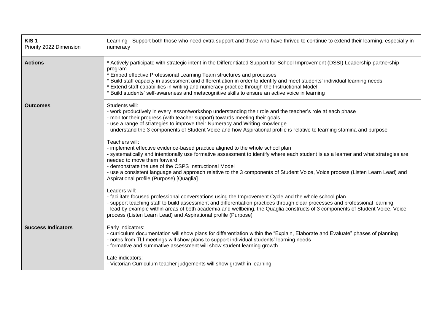| KIS <sub>1</sub><br>Priority 2022 Dimension | Learning - Support both those who need extra support and those who have thrived to continue to extend their learning, especially in<br>numeracy                                                                                                                                                                                                                                                                                                                                                                                                                                                                                                                                                                                                                                                                                                                                                                                                                                                                                                                                                                                                                                                                                                                                                                                                                                                   |
|---------------------------------------------|---------------------------------------------------------------------------------------------------------------------------------------------------------------------------------------------------------------------------------------------------------------------------------------------------------------------------------------------------------------------------------------------------------------------------------------------------------------------------------------------------------------------------------------------------------------------------------------------------------------------------------------------------------------------------------------------------------------------------------------------------------------------------------------------------------------------------------------------------------------------------------------------------------------------------------------------------------------------------------------------------------------------------------------------------------------------------------------------------------------------------------------------------------------------------------------------------------------------------------------------------------------------------------------------------------------------------------------------------------------------------------------------------|
| <b>Actions</b>                              | * Actively participate with strategic intent in the Differentiated Support for School Improvement (DSSI) Leadership partnership<br>program<br>* Embed effective Professional Learning Team structures and processes<br>* Build staff capacity in assessment and differentiation in order to identify and meet students' individual learning needs<br>* Extend staff capabilities in writing and numeracy practice through the Instructional Model<br>Build students' self-awareness and metacognitive skills to ensure an active voice in learning                                                                                                                                                                                                                                                                                                                                                                                                                                                                                                                                                                                                                                                                                                                                                                                                                                                |
| <b>Outcomes</b>                             | Students will:<br>- work productively in every lesson/workshop understanding their role and the teacher's role at each phase<br>- monitor their progress (with teacher support) towards meeting their goals<br>- use a range of strategies to improve their Numeracy and Writing knowledge<br>- understand the 3 components of Student Voice and how Aspirational profile is relative to learning stamina and purpose<br>Teachers will:<br>- implement effective evidence-based practice aligned to the whole school plan<br>- systematically and intentionally use formative assessment to identify where each student is as a learner and what strategies are<br>needed to move them forward<br>- demonstrate the use of the CSPS Instructional Model<br>- use a consistent language and approach relative to the 3 components of Student Voice, Voice process (Listen Learn Lead) and<br>Aspirational profile (Purpose) [Quaglia]<br>Leaders will:<br>- facilitate focused professional conversations using the Improvement Cycle and the whole school plan<br>- support teaching staff to build assessment and differentiation practices through clear processes and professional learning<br>- lead by example within areas of both academia and wellbeing, the Quaglia constructs of 3 components of Student Voice, Voice<br>process (Listen Learn Lead) and Aspirational profile (Purpose) |
| <b>Success Indicators</b>                   | Early indicators:<br>- curriculum documentation will show plans for differentiation within the "Explain, Elaborate and Evaluate" phases of planning<br>- notes from TLI meetings will show plans to support individual students' learning needs<br>- formative and summative assessment will show student learning growth<br>Late indicators:<br>- Victorian Curriculum teacher judgements will show growth in learning                                                                                                                                                                                                                                                                                                                                                                                                                                                                                                                                                                                                                                                                                                                                                                                                                                                                                                                                                                           |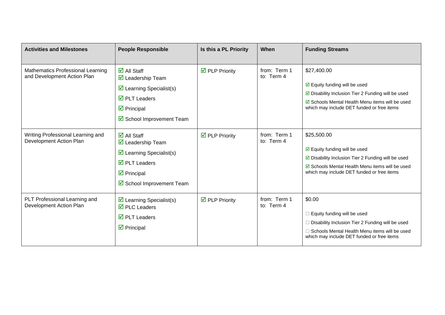| <b>Activities and Milestones</b>                                 | <b>People Responsible</b>                                                                                                                                                                                              | Is this a PL Priority                | When                       | <b>Funding Streams</b>                                                                                                                                                                                                |
|------------------------------------------------------------------|------------------------------------------------------------------------------------------------------------------------------------------------------------------------------------------------------------------------|--------------------------------------|----------------------------|-----------------------------------------------------------------------------------------------------------------------------------------------------------------------------------------------------------------------|
| Mathematics Professional Learning<br>and Development Action Plan | $\overline{\mathbf{M}}$ All Staff<br>$\overline{\mathbf{M}}$ Leadership Team<br>$\triangleright$ Learning Specialist(s)<br>$\overline{\mathsf{M}}$ PLT Leaders<br>$\triangledown$ Principal<br>School Improvement Team | $\overline{\mathbf{M}}$ PLP Priority | from: Term 1<br>to: Term 4 | \$27,400.00<br>$\boxdot$ Equity funding will be used<br>$\boxtimes$ Disability Inclusion Tier 2 Funding will be used<br>☑ Schools Mental Health Menu items will be used<br>which may include DET funded or free items |
| Writing Professional Learning and<br>Development Action Plan     | $\overline{\mathbf{M}}$ All Staff<br>$\overline{\mathbf{M}}$ Leadership Team<br>$\triangleright$ Learning Specialist(s)<br>$\overline{\boxtimes}$ PLT Leaders<br>$\triangledown$ Principal<br>School Improvement Team  | $\overline{\mathbf{M}}$ PLP Priority | from: Term 1<br>to: Term 4 | \$25,500.00<br>$\boxdot$ Equity funding will be used<br>$\boxtimes$ Disability Inclusion Tier 2 Funding will be used<br>☑ Schools Mental Health Menu items will be used<br>which may include DET funded or free items |
| PLT Professional Learning and<br>Development Action Plan         | $\triangleright$ Learning Specialist(s)<br>$\overline{\boxtimes}$ PLC Leaders<br>$\overline{\mathbf{2}}$ PLT Leaders<br>$\triangledown$ Principal                                                                      | $\overline{\mathbf{M}}$ PLP Priority | from: Term 1<br>to: Term 4 | \$0.00<br>$\Box$ Equity funding will be used<br>$\Box$ Disability Inclusion Tier 2 Funding will be used<br>$\Box$ Schools Mental Health Menu items will be used<br>which may include DET funded or free items         |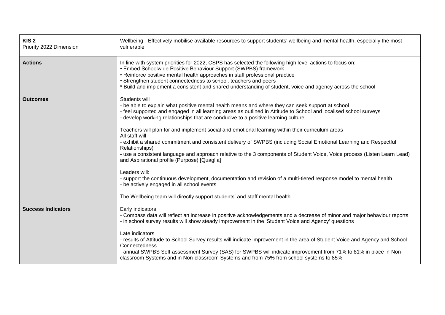| KIS <sub>2</sub><br>Priority 2022 Dimension | Wellbeing - Effectively mobilise available resources to support students' wellbeing and mental health, especially the most<br>vulnerable                                                                                                                                                                                                                                                                                                                                                                                                                                                                                                                                                                                                                                                                                                                                                                                                                                                                                                  |
|---------------------------------------------|-------------------------------------------------------------------------------------------------------------------------------------------------------------------------------------------------------------------------------------------------------------------------------------------------------------------------------------------------------------------------------------------------------------------------------------------------------------------------------------------------------------------------------------------------------------------------------------------------------------------------------------------------------------------------------------------------------------------------------------------------------------------------------------------------------------------------------------------------------------------------------------------------------------------------------------------------------------------------------------------------------------------------------------------|
| <b>Actions</b>                              | In line with system priorities for 2022, CSPS has selected the following high level actions to focus on:<br>• Embed Schoolwide Positive Behaviour Support (SWPBS) framework<br>• Reinforce positive mental health approaches in staff professional practice<br>• Strengthen student connectedness to school, teachers and peers<br>* Build and implement a consistent and shared understanding of student, voice and agency across the school                                                                                                                                                                                                                                                                                                                                                                                                                                                                                                                                                                                             |
| <b>Outcomes</b>                             | Students will<br>- be able to explain what positive mental health means and where they can seek support at school<br>- feel supported and engaged in all learning areas as outlined in Attitude to School and localised school surveys<br>- develop working relationships that are conducive to a positive learning culture<br>Teachers will plan for and implement social and emotional learning within their curriculum areas<br>All staff will<br>- exhibit a shared commitment and consistent delivery of SWPBS (including Social Emotional Learning and Respectful<br>Relationships)<br>- use a consistent language and approach relative to the 3 components of Student Voice, Voice process (Listen Learn Lead)<br>and Aspirational profile (Purpose) [Quaglia]<br>Leaders will:<br>- support the continuous development, documentation and revision of a multi-tiered response model to mental health<br>- be actively engaged in all school events<br>The Wellbeing team will directly support students' and staff mental health |
| <b>Success Indicators</b>                   | Early indicators<br>- Compass data will reflect an increase in positive acknowledgements and a decrease of minor and major behaviour reports<br>- in school survey results will show steady improvement in the 'Student Voice and Agency' questions<br>Late indicators<br>- results of Attitude to School Survey results will indicate improvement in the area of Student Voice and Agency and School<br>Connectedness<br>- annual SWPBS Self-assessment Survey (SAS) for SWPBS will indicate improvement from 71% to 81% in place in Non-<br>classroom Systems and in Non-classroom Systems and from 75% from school systems to 85%                                                                                                                                                                                                                                                                                                                                                                                                      |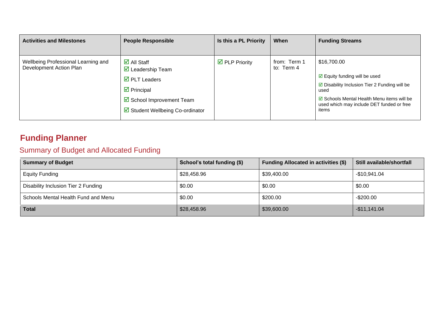| <b>Activities and Milestones</b>                               | <b>People Responsible</b>                                                                                                                                                                                   | Is this a PL Priority                | When                       | <b>Funding Streams</b>                                                                                                                                                                                                      |
|----------------------------------------------------------------|-------------------------------------------------------------------------------------------------------------------------------------------------------------------------------------------------------------|--------------------------------------|----------------------------|-----------------------------------------------------------------------------------------------------------------------------------------------------------------------------------------------------------------------------|
| Wellbeing Professional Learning and<br>Development Action Plan | $\overline{\mathsf{d}}$ All Staff<br>$\boxtimes$ Leadership Team<br>$\overline{\mathbf{M}}$ PLT Leaders<br>$\overline{\mathbf{y}}$ Principal<br>☑ School Improvement Team<br>Student Wellbeing Co-ordinator | $\overline{\mathbf{y}}$ PLP Priority | from: Term 1<br>to: Term 4 | \$16,700.00<br>$\boxdot$ Equity funding will be used<br>$\boxtimes$ Disability Inclusion Tier 2 Funding will be<br>used<br>☑ Schools Mental Health Menu items will be<br>used which may include DET funded or free<br>items |

### **Funding Planner**

### Summary of Budget and Allocated Funding

| <b>Summary of Budget</b>            | School's total funding (\$) | <b>Funding Allocated in activities (\$)</b> | Still available/shortfall |
|-------------------------------------|-----------------------------|---------------------------------------------|---------------------------|
| <b>Equity Funding</b>               | \$28,458.96                 | \$39,400.00                                 | $-$10,941.04$             |
| Disability Inclusion Tier 2 Funding | \$0.00                      | \$0.00                                      | \$0.00                    |
| Schools Mental Health Fund and Menu | \$0.00                      | \$200.00                                    | $-$200.00$                |
| <b>Total</b>                        | \$28,458.96                 | \$39,600.00                                 | $-$11,141.04$             |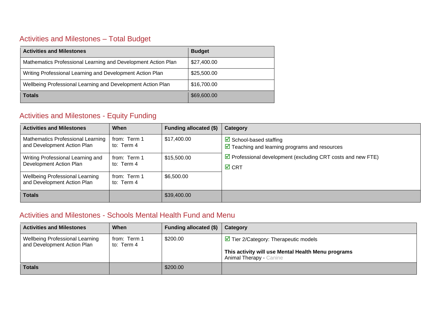#### Activities and Milestones – Total Budget

| <b>Activities and Milestones</b>                              | <b>Budget</b> |
|---------------------------------------------------------------|---------------|
| Mathematics Professional Learning and Development Action Plan | \$27,400.00   |
| Writing Professional Learning and Development Action Plan     | \$25,500.00   |
| Wellbeing Professional Learning and Development Action Plan   | \$16,700.00   |
| <b>Totals</b>                                                 | \$69,600.00   |

#### Activities and Milestones - Equity Funding

| <b>Activities and Milestones</b>                                      | When                       | Funding allocated (\$) | Category                                                                                                       |
|-----------------------------------------------------------------------|----------------------------|------------------------|----------------------------------------------------------------------------------------------------------------|
| Mathematics Professional Learning<br>and Development Action Plan      | from: Term 1<br>to: Term 4 | \$17,400.00            | $\triangleright$ School-based staffing<br>$\overline{\mathbf{y}}$ Teaching and learning programs and resources |
| Writing Professional Learning and<br>Development Action Plan          | from: Term 1<br>to: Term 4 | \$15,500.00            | $\triangleright$ Professional development (excluding CRT costs and new FTE)<br>$\boxtimes$ CRT                 |
| <b>Wellbeing Professional Learning</b><br>and Development Action Plan | from: Term 1<br>to: Term 4 | \$6,500.00             |                                                                                                                |
| <b>Totals</b>                                                         |                            | \$39,400.00            |                                                                                                                |

#### Activities and Milestones - Schools Mental Health Fund and Menu

| <b>Activities and Milestones</b>                                      | When                       | Funding allocated (\$) | Category                                                                                                                           |
|-----------------------------------------------------------------------|----------------------------|------------------------|------------------------------------------------------------------------------------------------------------------------------------|
| <b>Wellbeing Professional Learning</b><br>and Development Action Plan | from: Term 1<br>to: Term 4 | \$200.00               | $\Box$ Tier 2/Category: Therapeutic models<br>This activity will use Mental Health Menu programs<br><b>Animal Therapy - Canine</b> |
| <b>Totals</b>                                                         |                            | \$200.00               |                                                                                                                                    |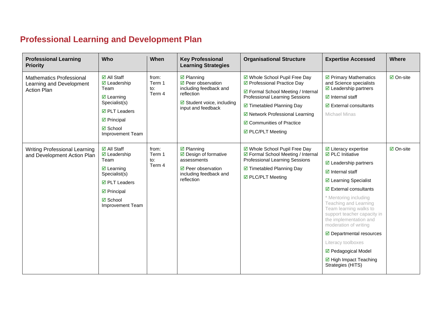## **Professional Learning and Development Plan**

| <b>Professional Learning</b><br><b>Priority</b>                                   | <b>Who</b>                                                                                                                                                                           | When                             | <b>Key Professional</b><br><b>Learning Strategies</b>                                                                                          | <b>Organisational Structure</b>                                                                                                                                                                                                                               | <b>Expertise Accessed</b>                                                                                                                                                                                                                                                                                                                                                                                                                                                                      | <b>Where</b>     |
|-----------------------------------------------------------------------------------|--------------------------------------------------------------------------------------------------------------------------------------------------------------------------------------|----------------------------------|------------------------------------------------------------------------------------------------------------------------------------------------|---------------------------------------------------------------------------------------------------------------------------------------------------------------------------------------------------------------------------------------------------------------|------------------------------------------------------------------------------------------------------------------------------------------------------------------------------------------------------------------------------------------------------------------------------------------------------------------------------------------------------------------------------------------------------------------------------------------------------------------------------------------------|------------------|
| <b>Mathematics Professional</b><br>Learning and Development<br><b>Action Plan</b> | <b>Ø</b> All Staff<br>$\boxdot$ Leadership<br>Team<br>$\boxdot$ Learning<br>Specialist(s)<br><b>Ø</b> PLT Leaders<br>$\boxdot$ Principal<br><b>☑</b> School<br>Improvement Team      | from:<br>Term 1<br>to:<br>Term 4 | $\boxtimes$ Planning<br>☑ Peer observation<br>including feedback and<br>reflection<br>$\boxdot$ Student voice, including<br>input and feedback | ☑ Whole School Pupil Free Day<br>☑ Professional Practice Day<br>☑ Formal School Meeting / Internal<br><b>Professional Learning Sessions</b><br>☑ Timetabled Planning Day<br>☑ Network Professional Learning<br>☑ Communities of Practice<br>☑ PLC/PLT Meeting | ☑ Primary Mathematics<br>and Science specialists<br>$\boxtimes$ Leadership partners<br>$\boxtimes$ Internal staff<br>$\triangleright$ External consultants<br><b>Michael Minas</b>                                                                                                                                                                                                                                                                                                             | <b>Ø</b> On-site |
| <b>Writing Professional Learning</b><br>and Development Action Plan               | <b>Ø</b> All Staff<br>$\boxdot$ Leadership<br>Team<br>$\boxtimes$ Learning<br>Specialist(s)<br>$\boxdot$ PLT Leaders<br>$\boxtimes$ Principal<br><b>☑</b> School<br>Improvement Team | from:<br>Term 1<br>to:<br>Term 4 | $\boxtimes$ Planning<br>$\boxtimes$ Design of formative<br>assessments<br>$\boxdot$ Peer observation<br>including feedback and<br>reflection   | ☑ Whole School Pupil Free Day<br>☑ Formal School Meeting / Internal<br><b>Professional Learning Sessions</b><br>☑ Timetabled Planning Day<br>☑ PLC/PLT Meeting                                                                                                | $\boxdot$ Literacy expertise<br>$\boxtimes$ PLC Initiative<br>$\boxtimes$ Leadership partners<br>$\boxdot$ Internal staff<br>☑ Learning Specialist<br>$\boxdot$ External consultants<br>* Mentoring including<br>Teaching and Learning<br>Team learning walks to<br>support teacher capacity in<br>the implementation and<br>moderation of writing<br>$\boxtimes$ Departmental resources<br>Literacy toolboxes<br>☑ Pedagogical Model<br>$\boxtimes$ High Impact Teaching<br>Strategies (HITS) | ☑ On-site        |